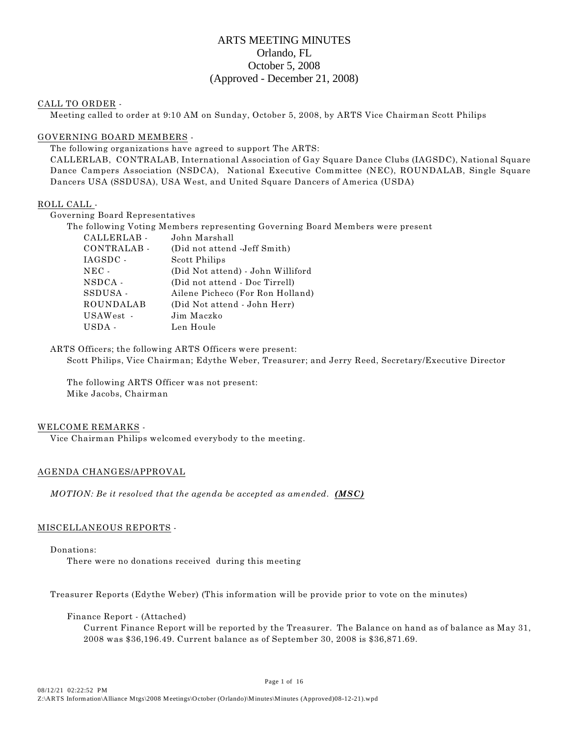# ARTS MEETING MINUTES Orlando, FL October 5, 2008 (Approved - December 21, 2008)

#### CALL TO ORDER -

Meeting called to order at 9:10 AM on Sunday, October 5, 2008, by ARTS Vice Chairman Scott Philips

### GOVERNING BOARD MEMBERS -

The following organizations have agreed to support The ARTS:

CALLERLAB, CONTRALAB, International Association of Gay Square Dance Clubs (IAGSDC), National Square Dance Campers Association (NSDCA), National Executive Committee (NEC), ROUNDALAB, Single Square Dancers USA (SSDUSA), USA West, and United Square Dancers of America (USDA)

### ROLL CALL -

Governing Board Representatives

| The following Voting Members representing Governing Board Members were present |                  |                                   |  |  |  |
|--------------------------------------------------------------------------------|------------------|-----------------------------------|--|--|--|
|                                                                                | CALLERLAB-       | John Marshall                     |  |  |  |
|                                                                                | CONTRALAB-       | (Did not attend -Jeff Smith)      |  |  |  |
|                                                                                | IAGSDC -         | Scott Philips                     |  |  |  |
|                                                                                | $NEC -$          | (Did Not attend) - John Williford |  |  |  |
|                                                                                | NSDCA -          | (Did not attend - Doc Tirrell)    |  |  |  |
|                                                                                | SSDUSA-          | Ailene Picheco (For Ron Holland)  |  |  |  |
|                                                                                | <b>ROUNDALAB</b> | (Did Not attend - John Herr)      |  |  |  |
|                                                                                | USAWest -        | Jim Maczko                        |  |  |  |
|                                                                                | USDA -           | Len Houle                         |  |  |  |

ARTS Officers; the following ARTS Officers were present: Scott Philips, Vice Chairman; Edythe Weber, Treasurer; and Jerry Reed, Secretary/Executive Director

The following ARTS Officer was not present: Mike Jacobs, Chairman

#### WELCOME REMARKS -

Vice Chairman Philips welcomed everybody to the meeting.

### AGENDA CHANGES/APPROVAL

*MOTION: Be it resolved that the agenda be accepted as amended. (MSC)*

### MISCELLANEOUS REPORTS -

Donations: There were no donations received during this meeting

Treasurer Reports (Edythe Weber) (This information will be provide prior to vote on the minutes)

Finance Report - (Attached)

Current Finance Report will be reported by the Treasurer. The Balance on hand as of balance as May 31, 2008 was \$36,196.49. Current balance as of September 30, 2008 is \$36,871.69.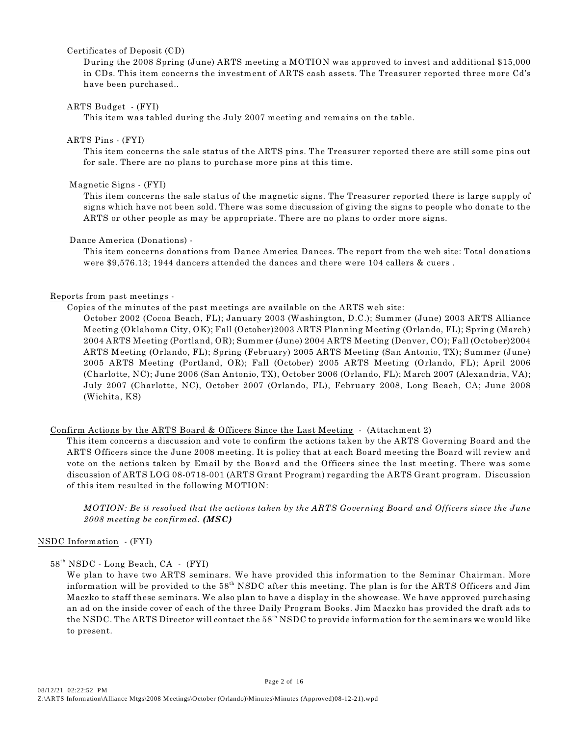#### Certificates of Deposit (CD)

During the 2008 Spring (June) ARTS meeting a MOTION was approved to invest and additional \$15,000 in CDs. This item concerns the investment of ARTS cash assets. The Treasurer reported three more Cd's have been purchased..

### ARTS Budget - (FYI)

This item was tabled during the July 2007 meeting and remains on the table.

#### ARTS Pins - (FYI)

This item concerns the sale status of the ARTS pins. The Treasurer reported there are still some pins out for sale. There are no plans to purchase more pins at this time.

### Magnetic Signs - (FYI)

This item concerns the sale status of the magnetic signs. The Treasurer reported there is large supply of signs which have not been sold. There was some discussion of giving the signs to people who donate to the ARTS or other people as may be appropriate. There are no plans to order more signs.

### Dance America (Donations) -

This item concerns donations from Dance America Dances. The report from the web site: Total donations were \$9,576.13; 1944 dancers attended the dances and there were 104 callers & cuers .

### Reports from past meetings -

### Copies of the minutes of the past meetings are available on the ARTS web site:

October 2002 (Cocoa Beach, FL); January 2003 (Washington, D.C.); Summer (June) 2003 ARTS Alliance Meeting (Oklahoma City, OK); Fall (October)2003 ARTS Planning Meeting (Orlando, FL); Spring (March) 2004 ARTS Meeting (Portland, OR); Summer (June) 2004 ARTS Meeting (Denver, CO); Fall (October)2004 ARTS Meeting (Orlando, FL); Spring (February) 2005 ARTS Meeting (San Antonio, TX); Summer (June) 2005 ARTS Meeting (Portland, OR); Fall (October) 2005 ARTS Meeting (Orlando, FL); April 2006 (Charlotte, NC); June 2006 (San Antonio, TX), October 2006 (Orlando, FL); March 2007 (Alexandria, VA); July 2007 (Charlotte, NC), October 2007 (Orlando, FL), February 2008, Long Beach, CA; June 2008 (Wichita, KS)

### Confirm Actions by the ARTS Board & Officers Since the Last Meeting - (Attachment 2)

This item concerns a discussion and vote to confirm the actions taken by the ARTS Governing Board and the ARTS Officers since the June 2008 meeting. It is policy that at each Board meeting the Board will review and vote on the actions taken by Email by the Board and the Officers since the last meeting. There was some discussion of ARTS LOG 08-0718-001 (ARTS Grant Program) regarding the ARTS Grant program. Discussion of this item resulted in the following MOTION:

*MOTION: Be it resolved that the actions taken by the ARTS Governing Board and Officers since the June 2008 meeting be confirmed. (MSC)*

### NSDC Information - (FYI)

 $58<sup>th</sup> NSDC$  - Long Beach, CA - (FYI)

We plan to have two ARTS seminars. We have provided this information to the Seminar Chairman. More information will be provided to the  $58<sup>th</sup>$  NSDC after this meeting. The plan is for the ARTS Officers and Jim Maczko to staff these seminars. We also plan to have a display in the showcase. We have approved purchasing an ad on the inside cover of each of the three Daily Program Books. Jim Maczko has provided the draft ads to the NSDC. The ARTS Director will contact the  $58<sup>th</sup>$  NSDC to provide information for the seminars we would like to present.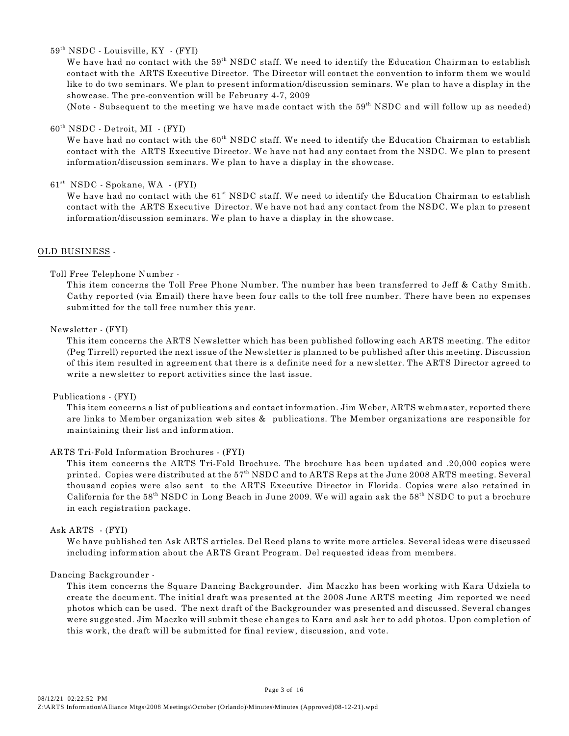$59<sup>th</sup> NSDC$  - Louisville,  $KY$  - (FYI)

We have had no contact with the  $59<sup>th</sup>$  NSDC staff. We need to identify the Education Chairman to establish contact with the ARTS Executive Director. The Director will contact the convention to inform them we would like to do two seminars. We plan to present information/discussion seminars. We plan to have a display in the showcase. The pre-convention will be February 4-7, 2009

(Note - Subsequent to the meeting we have made contact with the  $59<sup>th</sup>$  NSDC and will follow up as needed)

### $60<sup>th</sup> NSDC - Detroit, MI - (FYI)$

We have had no contact with the  $60<sup>th</sup>$  NSDC staff. We need to identify the Education Chairman to establish contact with the ARTS Executive Director. We have not had any contact from the NSDC. We plan to present information/discussion seminars. We plan to have a display in the showcase.

61<sup>st</sup> NSDC - Spokane, WA - (FYI)

We have had no contact with the 61<sup>st</sup> NSDC staff. We need to identify the Education Chairman to establish contact with the ARTS Executive Director. We have not had any contact from the NSDC. We plan to present information/discussion seminars. We plan to have a display in the showcase.

#### OLD BUSINESS -

#### Toll Free Telephone Number -

This item concerns the Toll Free Phone Number. The number has been transferred to Jeff & Cathy Smith. Cathy reported (via Email) there have been four calls to the toll free number. There have been no expenses submitted for the toll free number this year.

#### Newsletter - (FYI)

This item concerns the ARTS Newsletter which has been published following each ARTS meeting. The editor (Peg Tirrell) reported the next issue of the Newsletter is planned to be published after this meeting. Discussion of this item resulted in agreement that there is a definite need for a newsletter. The ARTS Director agreed to write a newsletter to report activities since the last issue.

#### Publications - (FYI)

This item concerns a list of publications and contact information. Jim Weber, ARTS webmaster, reported there are links to Member organization web sites & publications. The Member organizations are responsible for maintaining their list and information.

#### ARTS Tri-Fold Information Brochures - (FYI)

This item concerns the ARTS Tri-Fold Brochure. The brochure has been updated and .20,000 copies were printed. Copies were distributed at the 57<sup>th</sup> NSDC and to ARTS Reps at the June 2008 ARTS meeting. Several thousand copies were also sent to the ARTS Executive Director in Florida. Copies were also retained in California for the  $58<sup>th</sup>$  NSDC in Long Beach in June 2009. We will again ask the  $58<sup>th</sup>$  NSDC to put a brochure in each registration package.

#### Ask ARTS - (FYI)

We have published ten Ask ARTS articles. Del Reed plans to write more articles. Several ideas were discussed including information about the ARTS Grant Program. Del requested ideas from members.

#### Dancing Backgrounder -

This item concerns the Square Dancing Backgrounder. Jim Maczko has been working with Kara Udziela to create the document. The initial draft was presented at the 2008 June ARTS meeting Jim reported we need photos which can be used. The next draft of the Backgrounder was presented and discussed. Several changes were suggested. Jim Maczko will submit these changes to Kara and ask her to add photos. Upon completion of this work, the draft will be submitted for final review, discussion, and vote.

Page 3 of 16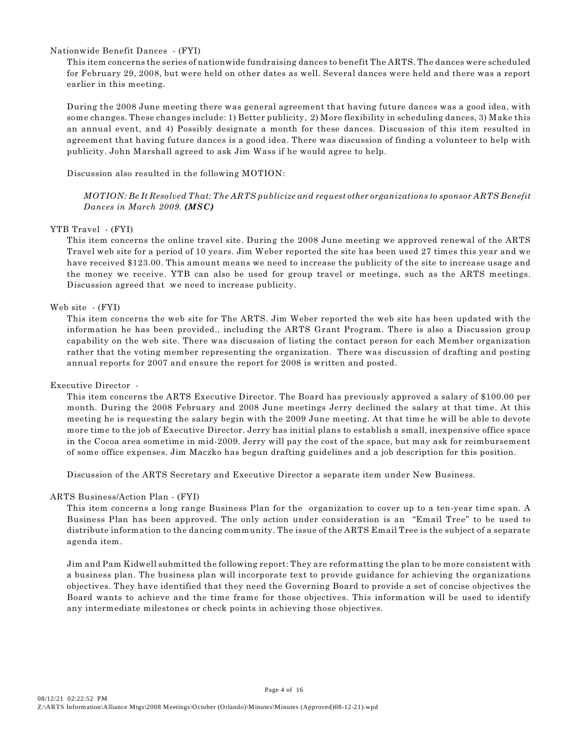### Nationwide Benefit Dances - (FYI)

This item concerns the series of nationwide fundraising dances to benefit The ARTS. The dances were scheduled for February 29, 2008, but were held on other dates as well. Several dances were held and there was a report earlier in this meeting.

During the 2008 June meeting there was general agreement that having future dances was a good idea, with some changes. These changes include: 1) Better publicity, 2) More flexibility in scheduling dances, 3) Make this an annual event, and 4) Possibly designate a month for these dances. Discussion of this item resulted in agreement that having future dances is a good idea. There was discussion of finding a volunteer to help with publicity. John Marshall agreed to ask Jim Wass if he would agree to help.

Discussion also resulted in the following MOTION:

*MOTION: Be It Resolved That: The ARTS publicize and request other organizations to sponsor ARTS Benefit Dances in March 2009. (MSC)*

#### YTB Travel - (FYI)

This item concerns the online travel site. During the 2008 June meeting we approved renewal of the ARTS Travel web site for a period of 10 years. Jim Weber reported the site has been used 27 times this year and we have received \$123.00. This amount means we need to increase the publicity of the site to increase usage and the money we receive. YTB can also be used for group travel or meetings, such as the ARTS meetings. Discussion agreed that we need to increase publicity.

#### Web site - (FYI)

This item concerns the web site for The ARTS. Jim Weber reported the web site has been updated with the information he has been provided., including the ARTS Grant Program. There is also a Discussion group capability on the web site. There was discussion of listing the contact person for each Member organization rather that the voting member representing the organization. There was discussion of drafting and posting annual reports for 2007 and ensure the report for 2008 is written and posted.

#### Executive Director -

This item concerns the ARTS Executive Director. The Board has previously approved a salary of \$100.00 per month. During the 2008 February and 2008 June meetings Jerry declined the salary at that time. At this meeting he is requesting the salary begin with the 2009 June meeting. At that time he will be able to devote more time to the job of Executive Director. Jerry has initial plans to establish a small, inexpensive office space in the Cocoa area sometime in mid-2009. Jerry will pay the cost of the space, but may ask for reimbursement of some office expenses. Jim Maczko has begun drafting guidelines and a job description for this position.

Discussion of the ARTS Secretary and Executive Director a separate item under New Business.

#### ARTS Business/Action Plan - (FYI)

This item concerns a long range Business Plan for the organization to cover up to a ten-year time span. A Business Plan has been approved. The only action under consideration is an "Email Tree" to be used to distribute information to the dancing community. The issue of the ARTS Email Tree is the subject of a separate agenda item.

Jim and Pam Kidwell submitted the following report: They are reformatting the plan to be more consistent with a business plan. The business plan will incorporate text to provide guidance for achieving the organizations objectives. They have identified that they need the Governing Board to provide a set of concise objectives the Board wants to achieve and the time frame for those objectives. This information will be used to identify any intermediate milestones or check points in achieving those objectives.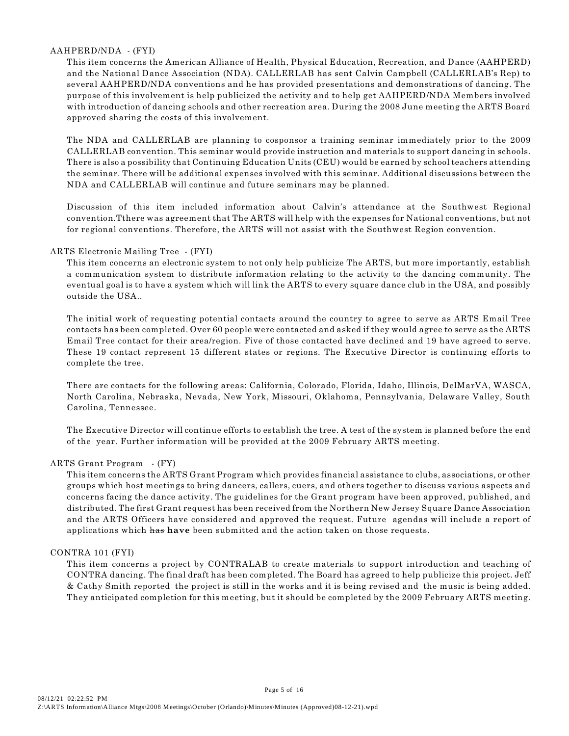### AAHPERD/NDA - (FYI)

This item concerns the American Alliance of Health, Physical Education, Recreation, and Dance (AAHPERD) and the National Dance Association (NDA). CALLERLAB has sent Calvin Campbell (CALLERLAB's Rep) to several AAHPERD/NDA conventions and he has provided presentations and demonstrations of dancing. The purpose of this involvement is help publicized the activity and to help get AAHPERD/NDA Members involved with introduction of dancing schools and other recreation area. During the 2008 June meeting the ARTS Board approved sharing the costs of this involvement.

The NDA and CALLERLAB are planning to cosponsor a training seminar immediately prior to the 2009 CALLERLAB convention. This seminar would provide instruction and materials to support dancing in schools. There is also a possibility that Continuing Education Units (CEU) would be earned by school teachers attending the seminar. There will be additional expenses involved with this seminar. Additional discussions between the NDA and CALLERLAB will continue and future seminars may be planned.

Discussion of this item included information about Calvin's attendance at the Southwest Regional convention.Tthere was agreement that The ARTS will help with the expenses for National conventions, but not for regional conventions. Therefore, the ARTS will not assist with the Southwest Region convention.

### ARTS Electronic Mailing Tree - (FYI)

This item concerns an electronic system to not only help publicize The ARTS, but more importantly, establish a communication system to distribute information relating to the activity to the dancing community. The eventual goal is to have a system which will link the ARTS to every square dance club in the USA, and possibly outside the USA..

The initial work of requesting potential contacts around the country to agree to serve as ARTS Email Tree contacts has been completed. Over 60 people were contacted and asked if they would agree to serve as the ARTS Email Tree contact for their area/region. Five of those contacted have declined and 19 have agreed to serve. These 19 contact represent 15 different states or regions. The Executive Director is continuing efforts to complete the tree.

There are contacts for the following areas: California, Colorado, Florida, Idaho, Illinois, DelMarVA, WASCA, North Carolina, Nebraska, Nevada, New York, Missouri, Oklahoma, Pennsylvania, Delaware Valley, South Carolina, Tennessee.

The Executive Director will continue efforts to establish the tree. A test of the system is planned before the end of the year. Further information will be provided at the 2009 February ARTS meeting.

#### ARTS Grant Program - (FY)

This item concerns the ARTS Grant Program which provides financial assistance to clubs, associations, or other groups which host meetings to bring dancers, callers, cuers, and others together to discuss various aspects and concerns facing the dance activity. The guidelines for the Grant program have been approved, published, and distributed. The first Grant request has been received from the Northern New Jersey Square Dance Association and the ARTS Officers have considered and approved the request. Future agendas will include a report of applications which has **have** been submitted and the action taken on those requests.

#### CONTRA 101 (FYI)

This item concerns a project by CONTRALAB to create materials to support introduction and teaching of CONTRA dancing. The final draft has been completed. The Board has agreed to help publicize this project. Jeff & Cathy Smith reported the project is still in the works and it is being revised and the music is being added. They anticipated completion for this meeting, but it should be completed by the 2009 February ARTS meeting.

Page 5 of 16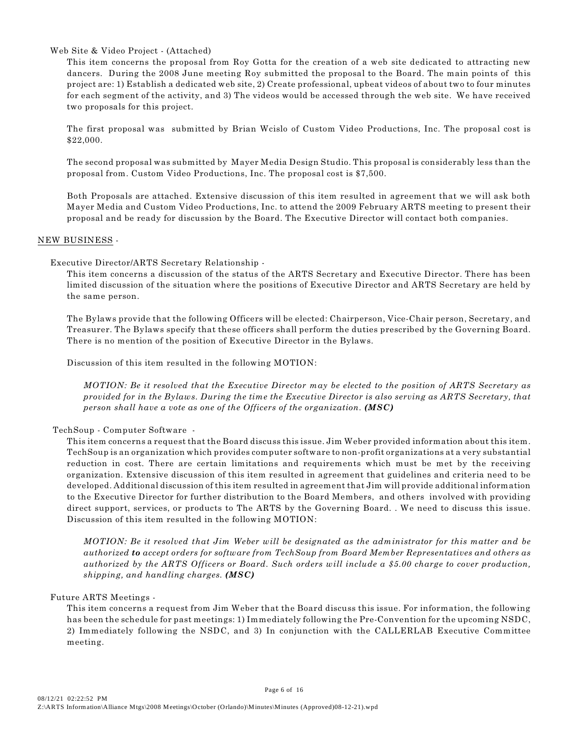### Web Site & Video Project - (Attached)

This item concerns the proposal from Roy Gotta for the creation of a web site dedicated to attracting new dancers. During the 2008 June meeting Roy submitted the proposal to the Board. The main points of this project are: 1) Establish a dedicated web site, 2) Create professional, upbeat videos of about two to four minutes for each segment of the activity, and 3) The videos would be accessed through the web site. We have received two proposals for this project.

The first proposal was submitted by Brian Wcislo of Custom Video Productions, Inc. The proposal cost is \$22,000.

The second proposal was submitted by Mayer Media Design Studio. This proposal is considerably less than the proposal from. Custom Video Productions, Inc. The proposal cost is \$7,500.

Both Proposals are attached. Extensive discussion of this item resulted in agreement that we will ask both Mayer Media and Custom Video Productions, Inc. to attend the 2009 February ARTS meeting to present their proposal and be ready for discussion by the Board. The Executive Director will contact both companies.

#### NEW BUSINESS -

#### Executive Director/ARTS Secretary Relationship -

This item concerns a discussion of the status of the ARTS Secretary and Executive Director. There has been limited discussion of the situation where the positions of Executive Director and ARTS Secretary are held by the same person.

The Bylaws provide that the following Officers will be elected: Chairperson, Vice-Chair person, Secretary, and Treasurer. The Bylaws specify that these officers shall perform the duties prescribed by the Governing Board. There is no mention of the position of Executive Director in the Bylaws.

Discussion of this item resulted in the following MOTION:

*MOTION: Be it resolved that the Executive Director may be elected to the position of ARTS Secretary as provided for in the Bylaws. During the time the Executive Director is also serving as ARTS Secretary, that person shall have a vote as one of the Officers of the organization. (MSC)*

#### TechSoup - Computer Software -

This item concerns a request that the Board discuss this issue. Jim Weber provided information about this item. TechSoup is an organization which provides computer software to non-profit organizations at a very substantial reduction in cost. There are certain limitations and requirements which must be met by the receiving organization. Extensive discussion of this item resulted in agreement that guidelines and criteria need to be developed. Additional discussion of this item resulted in agreement that Jim will provide additional information to the Executive Director for further distribution to the Board Members, and others involved with providing direct support, services, or products to The ARTS by the Governing Board. . We need to discuss this issue. Discussion of this item resulted in the following MOTION:

*MOTION: Be it resolved that Jim Weber will be designated as the administrator for this matter and be authorized to accept orders for software from TechSoup from Board Member Representatives and others as authorized by the ARTS Officers or Board. Such orders will include a \$5.00 charge to cover production, shipping, and handling charges. (MSC)*

#### Future ARTS Meetings -

This item concerns a request from Jim Weber that the Board discuss this issue. For information, the following has been the schedule for past meetings: 1) Immediately following the Pre-Convention for the upcoming NSDC, 2) Immediately following the NSDC, and 3) In conjunction with the CALLERLAB Executive Committee meeting.

Page 6 of 16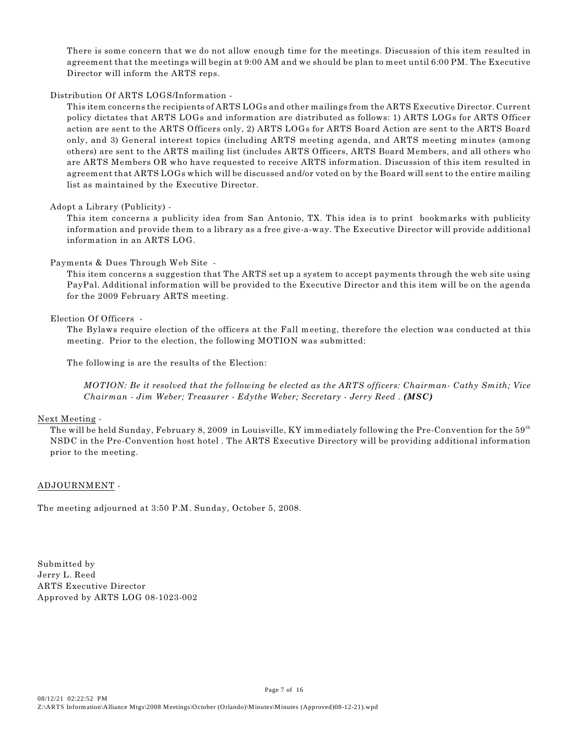There is some concern that we do not allow enough time for the meetings. Discussion of this item resulted in agreement that the meetings will begin at 9:00 AM and we should be plan to meet until 6:00 PM. The Executive Director will inform the ARTS reps.

#### Distribution Of ARTS LOGS/Information -

This item concerns the recipients of ARTS LOGs and other mailings from the ARTS Executive Director. Current policy dictates that ARTS LOGs and information are distributed as follows: 1) ARTS LOGs for ARTS Officer action are sent to the ARTS Officers only, 2) ARTS LOGs for ARTS Board Action are sent to the ARTS Board only, and 3) General interest topics (including ARTS meeting agenda, and ARTS meeting minutes (among others) are sent to the ARTS mailing list (includes ARTS Officers, ARTS Board Members, and all others who are ARTS Members OR who have requested to receive ARTS information. Discussion of this item resulted in agreement that ARTS LOGs which will be discussed and/or voted on by the Board will sent to the entire mailing list as maintained by the Executive Director.

## Adopt a Library (Publicity) -

This item concerns a publicity idea from San Antonio, TX. This idea is to print bookmarks with publicity information and provide them to a library as a free give-a-way. The Executive Director will provide additional information in an ARTS LOG.

### Payments & Dues Through Web Site -

This item concerns a suggestion that The ARTS set up a system to accept payments through the web site using PayPal. Additional information will be provided to the Executive Director and this item will be on the agenda for the 2009 February ARTS meeting.

### Election Of Officers -

The Bylaws require election of the officers at the Fall meeting, therefore the election was conducted at this meeting. Prior to the election, the following MOTION was submitted:

The following is are the results of the Election:

*MOTION: Be it resolved that the following be elected as the ARTS officers: Chairman- Cathy Smith; Vice Chairman - Jim Weber; Treasurer - Edythe Weber; Secretary - Jerry Reed . (MSC)*

### Next Meeting -

The will be held Sunday, February 8, 2009 in Louisville, KY immediately following the Pre-Convention for the  $59^{th}$ NSDC in the Pre-Convention host hotel . The ARTS Executive Directory will be providing additional information prior to the meeting.

Page 7 of 16

### ADJOURNMENT -

The meeting adjourned at 3:50 P.M. Sunday, October 5, 2008.

Submitted by Jerry L. Reed ARTS Executive Director Approved by ARTS LOG 08-1023-002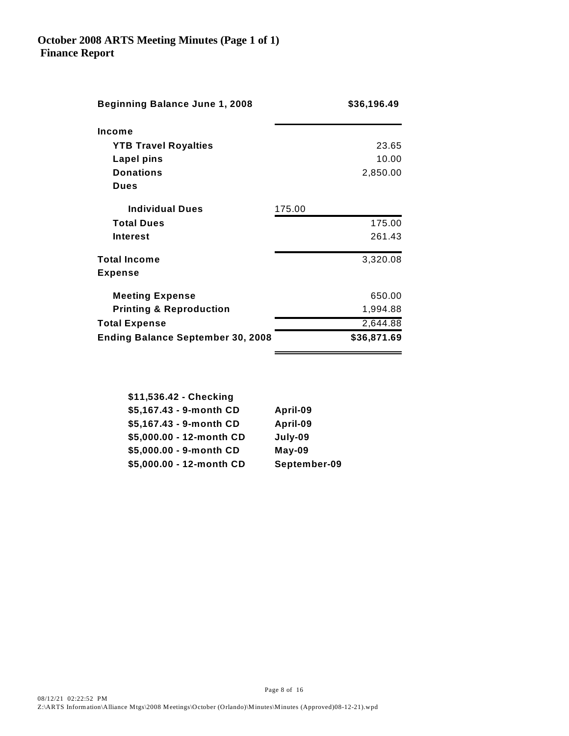| <b>Beginning Balance June 1, 2008</b>    |        | \$36,196.49 |
|------------------------------------------|--------|-------------|
| Income                                   |        |             |
| <b>YTB Travel Royalties</b>              |        | 23.65       |
| Lapel pins                               |        | 10.00       |
| <b>Donations</b>                         |        | 2,850.00    |
| <b>Dues</b>                              |        |             |
| <b>Individual Dues</b>                   | 175.00 |             |
| <b>Total Dues</b>                        |        | 175.00      |
| Interest                                 |        | 261.43      |
| <b>Total Income</b>                      |        | 3,320.08    |
| <b>Expense</b>                           |        |             |
| <b>Meeting Expense</b>                   |        | 650.00      |
| <b>Printing &amp; Reproduction</b>       |        | 1,994.88    |
| <b>Total Expense</b>                     |        | 2,644.88    |
| <b>Ending Balance September 30, 2008</b> |        | \$36,871.69 |

| \$11,536.42 - Checking   |              |
|--------------------------|--------------|
| \$5,167.43 - 9-month CD  | April-09     |
| \$5,167.43 - 9-month CD  | April-09     |
| \$5,000.00 - 12-month CD | July-09      |
| \$5,000.00 - 9-month CD  | $May-09$     |
| \$5,000.00 - 12-month CD | September-09 |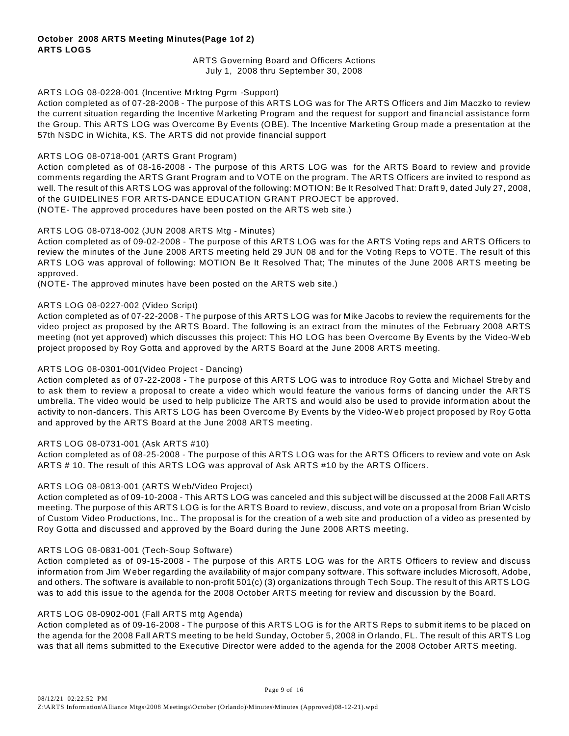### **October 2008 ARTS Meeting Minutes(Page 1of 2) ARTS LOGS**

### ARTS Governing Board and Officers Actions July 1, 2008 thru September 30, 2008

### ARTS LOG 08-0228-001 (Incentive Mrktng Pgrm -Support)

Action completed as of 07-28-2008 - The purpose of this ARTS LOG was for The ARTS Officers and Jim Maczko to review the current situation regarding the Incentive Marketing Program and the request for support and financial assistance form the Group. This ARTS LOG was Overcome By Events (OBE). The Incentive Marketing Group made a presentation at the 57th NSDC in W ichita, KS. The ARTS did not provide financial support

### ARTS LOG 08-0718-001 (ARTS Grant Program)

Action completed as of 08-16-2008 - The purpose of this ARTS LOG was for the ARTS Board to review and provide comments regarding the ARTS Grant Program and to VOTE on the program. The ARTS Officers are invited to respond as well. The result of this ARTS LOG was approval of the following: MOTION: Be It Resolved That: Draft 9, dated July 27, 2008, of the GUIDELINES FOR ARTS-DANCE EDUCATION GRANT PROJECT be approved. (NOTE- The approved procedures have been posted on the ARTS web site.)

### ARTS LOG 08-0718-002 (JUN 2008 ARTS Mtg - Minutes)

Action completed as of 09-02-2008 - The purpose of this ARTS LOG was for the ARTS Voting reps and ARTS Officers to review the minutes of the June 2008 ARTS meeting held 29 JUN 08 and for the Voting Reps to VOTE. The result of this ARTS LOG was approval of following: MOTION Be It Resolved That; The minutes of the June 2008 ARTS meeting be approved.

(NOTE- The approved minutes have been posted on the ARTS web site.)

### ARTS LOG 08-0227-002 (Video Script)

Action completed as of 07-22-2008 - The purpose of this ARTS LOG was for Mike Jacobs to review the requirements for the video project as proposed by the ARTS Board. The following is an extract from the minutes of the February 2008 ARTS meeting (not yet approved) which discusses this project: This HO LOG has been Overcome By Events by the Video-W eb project proposed by Roy Gotta and approved by the ARTS Board at the June 2008 ARTS meeting.

### ARTS LOG 08-0301-001(Video Project - Dancing)

Action completed as of 07-22-2008 - The purpose of this ARTS LOG was to introduce Roy Gotta and Michael Streby and to ask them to review a proposal to create a video which would feature the various forms of dancing under the ARTS umbrella. The video would be used to help publicize The ARTS and would also be used to provide information about the activity to non-dancers. This ARTS LOG has been Overcome By Events by the Video-W eb project proposed by Roy Gotta and approved by the ARTS Board at the June 2008 ARTS meeting.

#### ARTS LOG 08-0731-001 (Ask ARTS #10)

Action completed as of 08-25-2008 - The purpose of this ARTS LOG was for the ARTS Officers to review and vote on Ask ARTS # 10. The result of this ARTS LOG was approval of Ask ARTS #10 by the ARTS Officers.

#### ARTS LOG 08-0813-001 (ARTS W eb/Video Project)

Action completed as of 09-10-2008 - This ARTS LOG was canceled and this subject will be discussed at the 2008 Fall ARTS meeting. The purpose of this ARTS LOG is for the ARTS Board to review, discuss, and vote on a proposal from Brian Wcislo of Custom Video Productions, Inc.. The proposal is for the creation of a web site and production of a video as presented by Roy Gotta and discussed and approved by the Board during the June 2008 ARTS meeting.

#### ARTS LOG 08-0831-001 (Tech-Soup Software)

Action completed as of 09-15-2008 - The purpose of this ARTS LOG was for the ARTS Officers to review and discuss information from Jim W eber regarding the availability of major company software. This software includes Microsoft, Adobe, and others. The software is available to non-profit 501(c) (3) organizations through Tech Soup. The result of this ARTS LOG was to add this issue to the agenda for the 2008 October ARTS meeting for review and discussion by the Board.

#### ARTS LOG 08-0902-001 (Fall ARTS mtg Agenda)

Action completed as of 09-16-2008 - The purpose of this ARTS LOG is for the ARTS Reps to submit items to be placed on the agenda for the 2008 Fall ARTS meeting to be held Sunday, October 5, 2008 in Orlando, FL. The result of this ARTS Log was that all items submitted to the Executive Director were added to the agenda for the 2008 October ARTS meeting.

Page 9 of 16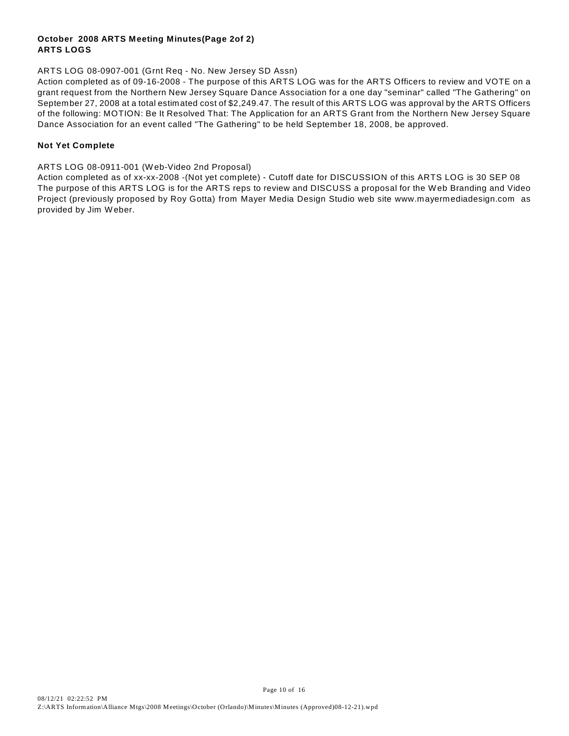## **October 2008 ARTS Meeting Minutes(Page 2of 2) ARTS LOGS**

## ARTS LOG 08-0907-001 (Grnt Req - No. New Jersey SD Assn)

Action completed as of 09-16-2008 - The purpose of this ARTS LOG was for the ARTS Officers to review and VOTE on a grant request from the Northern New Jersey Square Dance Association for a one day "seminar" called "The Gathering" on September 27, 2008 at a total estimated cost of \$2,249.47. The result of this ARTS LOG was approval by the ARTS Officers of the following: MOTION: Be It Resolved That: The Application for an ARTS Grant from the Northern New Jersey Square Dance Association for an event called "The Gathering" to be held September 18, 2008, be approved.

## **Not Yet Complete**

ARTS LOG 08-0911-001 (W eb-Video 2nd Proposal)

Action completed as of xx-xx-2008 -(Not yet complete) - Cutoff date for DISCUSSION of this ARTS LOG is 30 SEP 08 The purpose of this ARTS LOG is for the ARTS reps to review and DISCUSS a proposal for the W eb Branding and Video Project (previously proposed by Roy Gotta) from Mayer Media Design Studio web site www.mayermediadesign.com as provided by Jim W eber.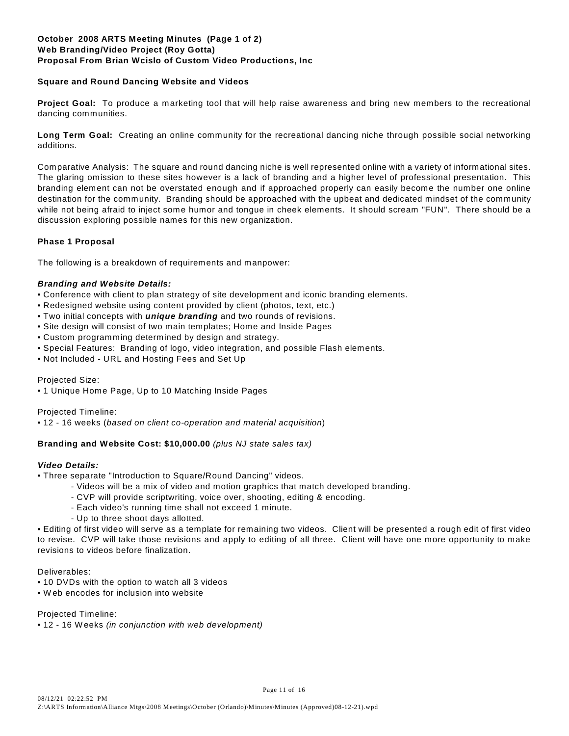### **October 2008 ARTS Meeting Minutes (Page 1 of 2) Web Branding/Video Project (Roy Gotta) Proposal From Brian Wcislo of Custom Video Productions, Inc**

### **Square and Round Dancing Website and Videos**

**Project Goal:** To produce a marketing tool that will help raise awareness and bring new members to the recreational dancing communities.

**Long Term Goal:** Creating an online community for the recreational dancing niche through possible social networking additions.

Comparative Analysis: The square and round dancing niche is well represented online with a variety of informational sites. The glaring omission to these sites however is a lack of branding and a higher level of professional presentation. This branding element can not be overstated enough and if approached properly can easily become the number one online destination for the community. Branding should be approached with the upbeat and dedicated mindset of the community while not being afraid to inject some humor and tongue in cheek elements. It should scream "FUN". There should be a discussion exploring possible names for this new organization.

### **Phase 1 Proposal**

The following is a breakdown of requirements and manpower:

### *Branding and Website Details:*

- Conference with client to plan strategy of site development and iconic branding elements.
- Redesigned website using content provided by client (photos, text, etc.)
- Two initial concepts with *unique branding* and two rounds of revisions.
- Site design will consist of two main templates; Home and Inside Pages
- Custom programming determined by design and strategy.
- Special Features: Branding of logo, video integration, and possible Flash elements.
- Not Included URL and Hosting Fees and Set Up

#### Projected Size:

• 1 Unique Home Page, Up to 10 Matching Inside Pages

Projected Timeline:

• 12 - 16 weeks (*based on client co-operation and material acquisition*)

### **Branding and Website Cost: \$10,000.00** *(plus NJ state sales tax)*

#### *Video Details:*

- Three separate "Introduction to Square/Round Dancing" videos.
	- Videos will be a mix of video and motion graphics that match developed branding.
	- CVP will provide scriptwriting, voice over, shooting, editing & encoding.
	- Each video's running time shall not exceed 1 minute.
	- Up to three shoot days allotted.

• Editing of first video will serve as a template for remaining two videos. Client will be presented a rough edit of first video to revise. CVP will take those revisions and apply to editing of all three. Client will have one more opportunity to make revisions to videos before finalization.

Deliverables:

- 10 DVDs with the option to watch all 3 videos
- W eb encodes for inclusion into website

Projected Timeline:

• 12 - 16 Weeks *(in conjunction with web development)*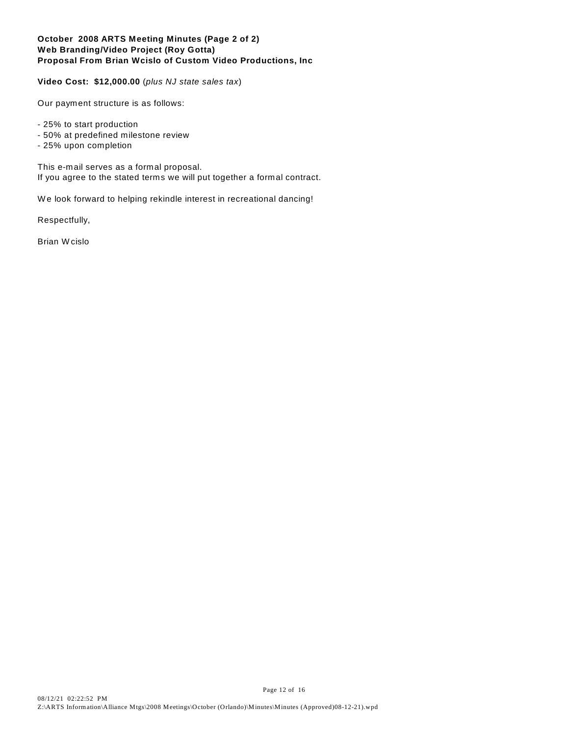### **October 2008 ARTS Meeting Minutes (Page 2 of 2) Web Branding/Video Project (Roy Gotta) Proposal From Brian Wcislo of Custom Video Productions, Inc**

**Video Cost: \$12,000.00** (*plus NJ state sales tax*)

Our payment structure is as follows:

- 25% to start production
- 50% at predefined milestone review
- 25% upon completion

This e-mail serves as a formal proposal. If you agree to the stated terms we will put together a formal contract.

W e look forward to helping rekindle interest in recreational dancing!

Respectfully,

Brian Wcislo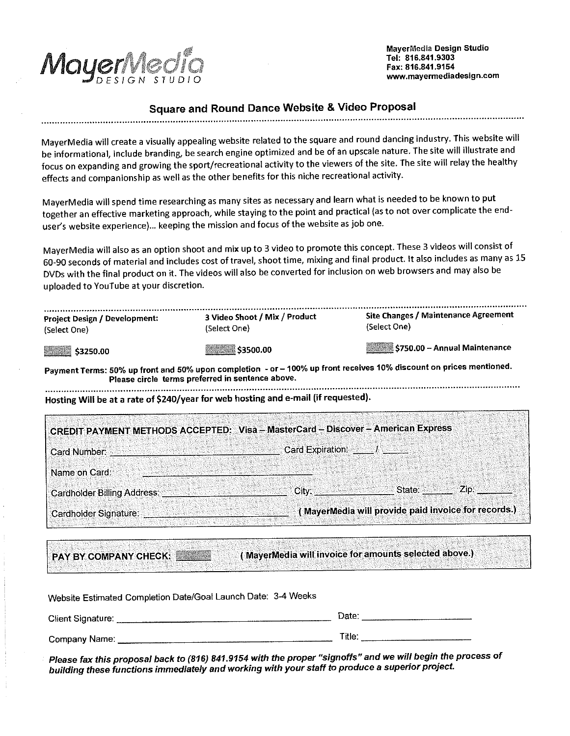Mayer

MayerMedia Design Studio Tel: 816.841.9303 Fax: 816.841.9154 www.mayermediadesign.com

# **Square and Round Dance Website & Video Proposal**

MayerMedia will create a visually appealing website related to the square and round dancing industry. This website will be informational, include branding, be search engine optimized and be of an upscale nature. The site will illustrate and focus on expanding and growing the sport/recreational activity to the viewers of the site. The site will relay the healthy effects and companionship as well as the other benefits for this niche recreational activity.

MayerMedia will spend time researching as many sites as necessary and learn what is needed to be known to put together an effective marketing approach, while staying to the point and practical (as to not over complicate the enduser's website experience)... keeping the mission and focus of the website as job one.

MayerMedia will also as an option shoot and mix up to 3 video to promote this concept. These 3 videos will consist of 60-90 seconds of material and includes cost of travel, shoot time, mixing and final product. It also includes as many as 15 DVDs with the final product on it. The videos will also be converted for inclusion on web browsers and may also be uploaded to YouTube at your discretion.

| <b>Project Design / Development:</b><br>(Select One)                                                                                                                    | 3 Video Shoot / Mix / Product<br>(Select On <b>e</b> ) | Site Changes / Maintenance Agreement<br>(Select One) |  |  |  |  |  |
|-------------------------------------------------------------------------------------------------------------------------------------------------------------------------|--------------------------------------------------------|------------------------------------------------------|--|--|--|--|--|
| \$3250.00                                                                                                                                                               | \$3500.00                                              | \$750.00 - Annual Maintenance                        |  |  |  |  |  |
| Payment Terms: 50% up front and 50% upon completion - or - 100% up front receives 10% discount on prices mentioned.<br>Please circle terms preferred in sentence above. |                                                        |                                                      |  |  |  |  |  |

Hosting Will be at a rate of \$240/year for web hosting and e-mail (if requested).

| CREDIT PAYMENT METHODS ACCEPTED: Visa - MasterCard - Discover - American Express |                                                     |
|----------------------------------------------------------------------------------|-----------------------------------------------------|
| l Card Number:                                                                   | Card Expiration:                                    |
| Name on Card:                                                                    |                                                     |
| <b>Cardholder Billing Address:</b>                                               | $Z$ ip:<br>State:<br>City:                          |
| Cardholder Signature:                                                            | (MayerMedia will provide paid invoice for records.) |

**PAY BY COMPANY CHECK:** 

(MayerMedia will invoice for amounts selected above.)

| Website Estimated Completion Date/Goal Launch Date: 3-4 Weeks |        |  |  |  |
|---------------------------------------------------------------|--------|--|--|--|
| Client Signature:                                             | Date:  |  |  |  |
| Company Name∷                                                 | Title: |  |  |  |

Please fax this proposal back to (816) 841.9154 with the proper "signoffs" and we will begin the process of building these functions immediately and working with your staff to produce a superior project.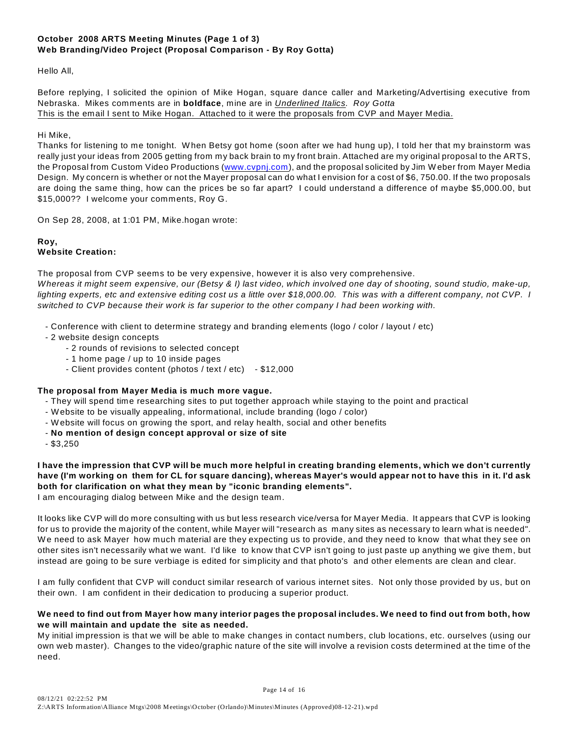# **October 2008 ARTS Meeting Minutes (Page 1 of 3) Web Branding/Video Project (Proposal Comparison - By Roy Gotta)**

Hello All,

Before replying, I solicited the opinion of Mike Hogan, square dance caller and Marketing/Advertising executive from Nebraska. Mikes comments are in **boldface**, mine are in *Underlined Italics. Roy Gotta* This is the email I sent to Mike Hogan. Attached to it were the proposals from CVP and Mayer Media.

### Hi Mike,

Thanks for listening to me tonight. W hen Betsy got home (soon after we had hung up), I told her that my brainstorm was really just your ideas from 2005 getting from my back brain to my front brain. Attached are my original proposal to the ARTS, the Proposal from Custom Video Productions [\(www.cvpnj.com](http://www.cvpnj.com)), and the proposal solicited by Jim W eber from Mayer Media Design. My concern is whether or not the Mayer proposal can do what I envision for a cost of \$6, 750.00. If the two proposals are doing the same thing, how can the prices be so far apart? I could understand a difference of maybe \$5,000.00, but \$15,000?? I welcome your comments, Roy G.

On Sep 28, 2008, at 1:01 PM, Mike.hogan wrote:

#### **Roy, Website Creation:**

The proposal from CVP seems to be very expensive, however it is also very comprehensive.

*Whereas it might seem expensive, our (Betsy & I) last video, which involved one day of shooting, sound studio, make-up, lighting experts, etc and extensive editing cost us a little over \$18,000.00. This was with a different company, not CVP. I switched to CVP because their work is far superior to the other company I had been working with.*

- Conference with client to determine strategy and branding elements (logo / color / layout / etc)
- 2 website design concepts
	- 2 rounds of revisions to selected concept
	- 1 home page / up to 10 inside pages
	- Client provides content (photos / text / etc) \$12,000

# **The proposal from Mayer Media is much more vague.**

- They will spend time researching sites to put together approach while staying to the point and practical
- W ebsite to be visually appealing, informational, include branding (logo / color)
- W ebsite will focus on growing the sport, and relay health, social and other benefits
- **No mention of design concept approval or size of site**
- \$3,250

**I have the impression that CVP will be much more helpful in creating branding elements, which we don't currently have (I'm working on them for CL for square dancing), whereas Mayer's would appear not to have this in it. I'd ask both for clarification on what they mean by "iconic branding elements".**  I am encouraging dialog between Mike and the design team.

It looks like CVP will do more consulting with us but less research vice/versa for Mayer Media. It appears that CVP is looking for us to provide the majority of the content, while Mayer will "research as many sites as necessary to learn what is needed". W e need to ask Mayer how much material are they expecting us to provide, and they need to know that what they see on other sites isn't necessarily what we want. I'd like to know that CVP isn't going to just paste up anything we give them, but instead are going to be sure verbiage is edited for simplicity and that photo's and other elements are clean and clear.

I am fully confident that CVP will conduct similar research of various internet sites. Not only those provided by us, but on their own. I am confident in their dedication to producing a superior product.

### **We need to find out from Mayer how many interior pages the proposal includes. We need to find out from both, how we will maintain and update the site as needed.**

My initial impression is that we will be able to make changes in contact numbers, club locations, etc. ourselves (using our own web master). Changes to the video/graphic nature of the site will involve a revision costs determined at the time of the need.

Page 14 of 16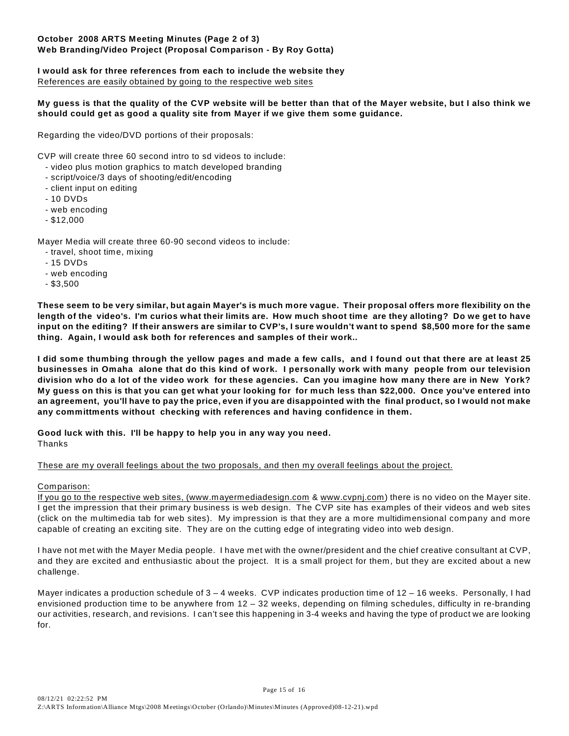## **October 2008 ARTS Meeting Minutes (Page 2 of 3) Web Branding/Video Project (Proposal Comparison - By Roy Gotta)**

# **I would ask for three references from each to include the website they**

References are easily obtained by going to the respective web sites

### **My guess is that the quality of the CVP website will be better than that of the Mayer website, but I also think we should could get as good a quality site from Mayer if we give them some guidance.**

Regarding the video/DVD portions of their proposals:

CVP will create three 60 second intro to sd videos to include:

- video plus motion graphics to match developed branding
- script/voice/3 days of shooting/edit/encoding
- client input on editing
- 10 DVDs
- web encoding
- \$12,000

Mayer Media will create three 60-90 second videos to include:

- travel, shoot time, mixing
- 15 DVDs
- web encoding
- \$3,500

**These seem to be very similar, but again Mayer's is much more vague. Their proposal offers more flexibility on the length of the video's. I'm curios what their limits are. How much shoot time are they alloting? Do we get to have input on the editing? If their answers are similar to CVP's, I sure wouldn't want to spend \$8,500 more for the same thing. Again, I would ask both for references and samples of their work..**

**I did some thumbing through the yellow pages and made a few calls, and I found out that there are at least 25 businesses in Omaha alone that do this kind of work. I personally work with many people from our television division who do a lot of the video work for these agencies. Can you imagine how many there are in New York? My guess on this is that you can get what your looking for for much less than \$22,000. Once you've entered into an agreement, you'll have to pay the price, even if you are disappointed with the final product, so I would not make any committments without checking with references and having confidence in them.**

**Good luck with this. I'll be happy to help you in any way you need.**

Thanks

These are my overall feelings about the two proposals, and then my overall feelings about the project.

### Comparison:

If you go to the respective web sites, [\(www.mayermediadesign.com](http://www.mayermediadesign.com) & [www.cvpnj.com](http://www.cvpnj.com)) there is no video on the Mayer site. I get the impression that their primary business is web design. The CVP site has examples of their videos and web sites (click on the multimedia tab for web sites). My impression is that they are a more multidimensional company and more capable of creating an exciting site. They are on the cutting edge of integrating video into web design.

I have not met with the Mayer Media people. I have met with the owner/president and the chief creative consultant at CVP, and they are excited and enthusiastic about the project. It is a small project for them, but they are excited about a new challenge.

Mayer indicates a production schedule of 3 – 4 weeks. CVP indicates production time of 12 – 16 weeks. Personally, I had envisioned production time to be anywhere from 12 – 32 weeks, depending on filming schedules, difficulty in re-branding our activities, research, and revisions. I can't see this happening in 3-4 weeks and having the type of product we are looking for.

Page 15 of 16